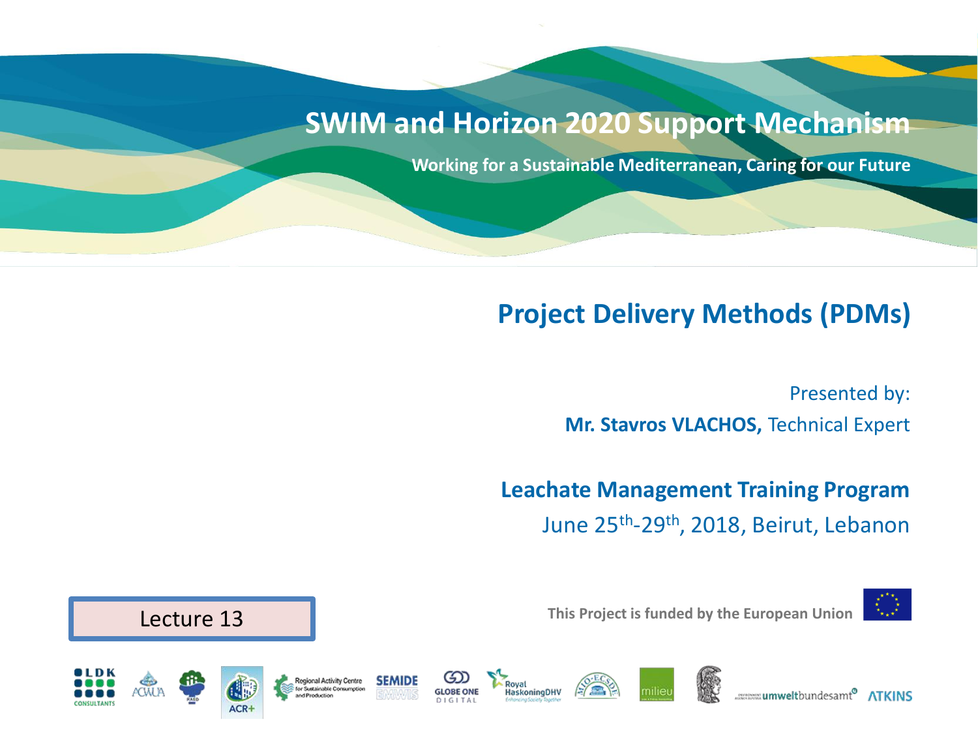#### **SWIM and Horizon 2020 Support Mechanism**

**laskoningDHV** 

**Working for a Sustainable Mediterranean, Caring for our Future**

#### **Project Delivery Methods (PDMs)**

Presented by: **Mr. Stavros VLACHOS,** Technical Expert

**Leachate Management Training Program**  June 25th -29th, 2018, Beirut, Lebanon



**This Project is funded by the European Union**



**Regional Activity Centre** 



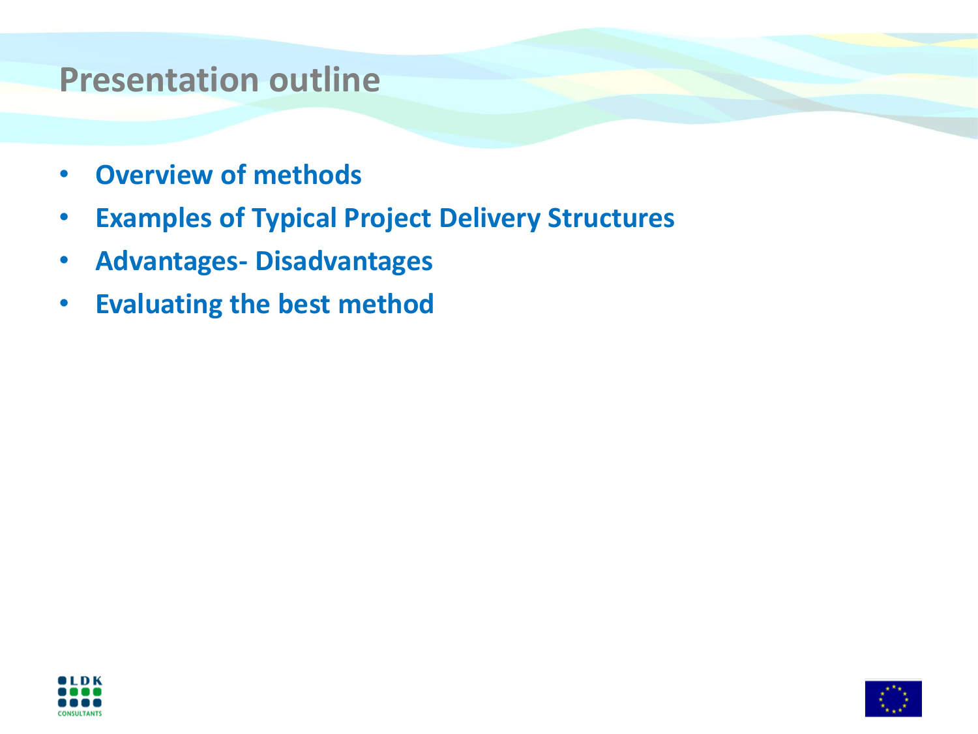#### **Presentation outline**

- **Overview of methods**
- **Examples of Typical Project Delivery Structures**
- **Advantages- Disadvantages**
- **Evaluating the best method**



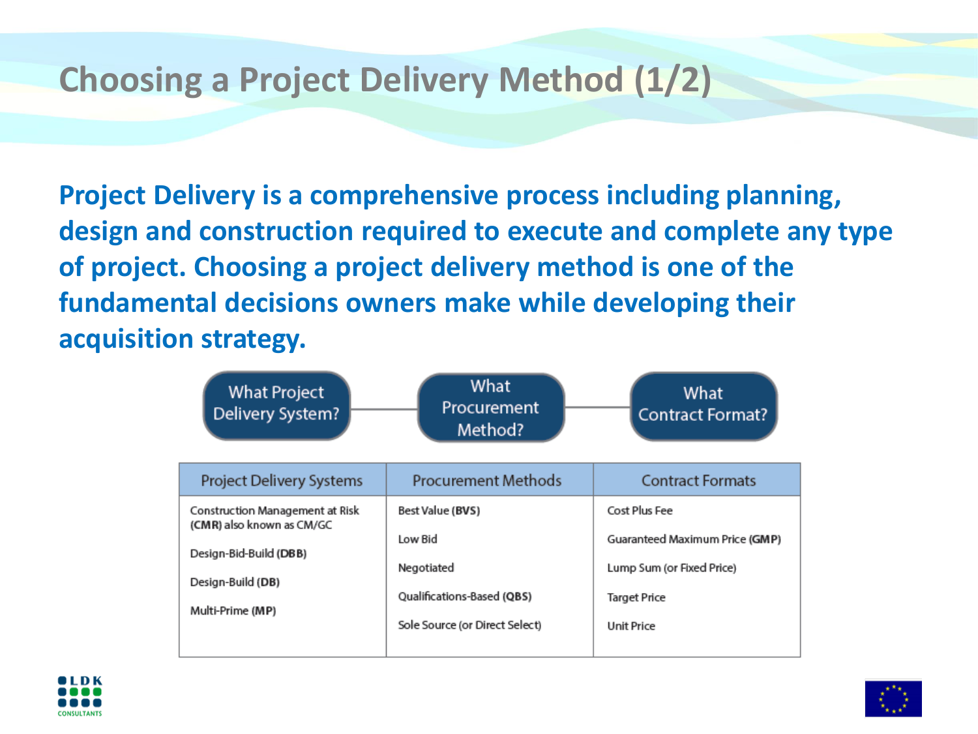### **Choosing a Project Delivery Method (1/2)**

**Project Delivery is a comprehensive process including planning, design and construction required to execute and complete any type of project. Choosing a project delivery method is one of the fundamental decisions owners make while developing their acquisition strategy.**

| <b>What Project</b><br>Delivery System?                      | What<br>Procurement<br>Method? | What<br><b>Contract Format?</b> |
|--------------------------------------------------------------|--------------------------------|---------------------------------|
| <b>Project Delivery Systems</b>                              | <b>Procurement Methods</b>     | <b>Contract Formats</b>         |
| Construction Management at Risk<br>(CMR) also known as CM/GC | Best Value (BVS)               | Cost Plus Fee                   |
| Design-Bid-Build (DBB)                                       | Low Bid                        | Guaranteed Maximum Price (GMP)  |
| Design-Build (DB)                                            | Negotiated                     | Lump Sum (or Fixed Price)       |
| Multi-Prime (MP)                                             | Qualifications-Based (QBS)     | Target Price                    |
|                                                              | Sole Source (or Direct Select) | <b>Unit Price</b>               |



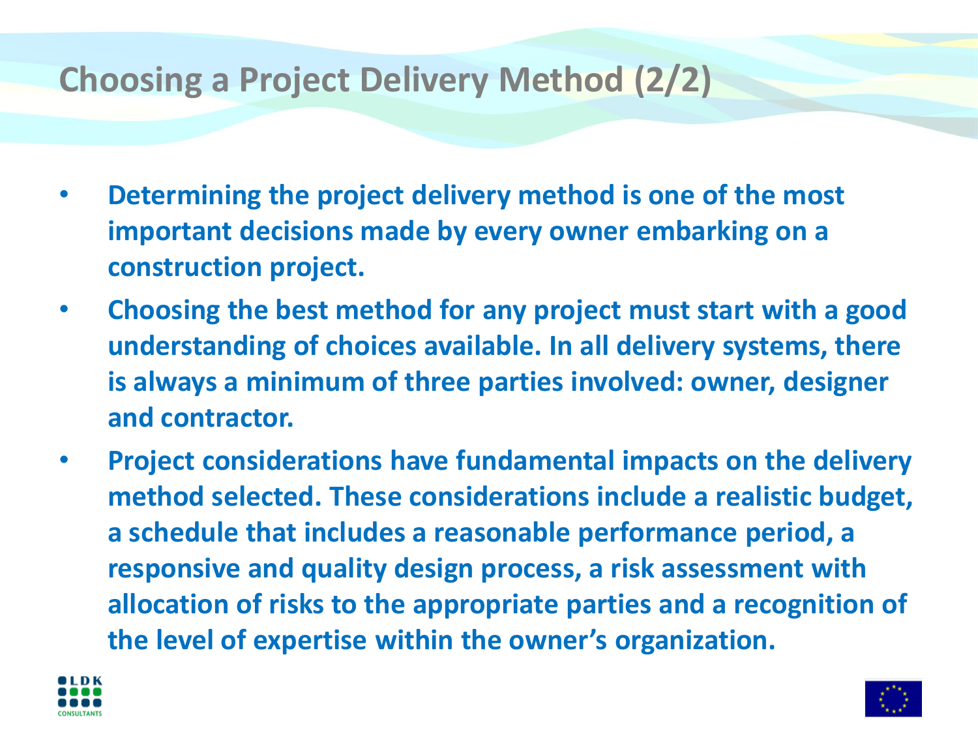### **Choosing a Project Delivery Method (2/2)**

- **Determining the project delivery method is one of the most important decisions made by every owner embarking on a construction project.**
- **Choosing the best method for any project must start with a good understanding of choices available. In all delivery systems, there is always a minimum of three parties involved: owner, designer and contractor.**
- **Project considerations have fundamental impacts on the delivery method selected. These considerations include a realistic budget, a schedule that includes a reasonable performance period, a responsive and quality design process, a risk assessment with allocation of risks to the appropriate parties and a recognition of the level of expertise within the owner's organization.**



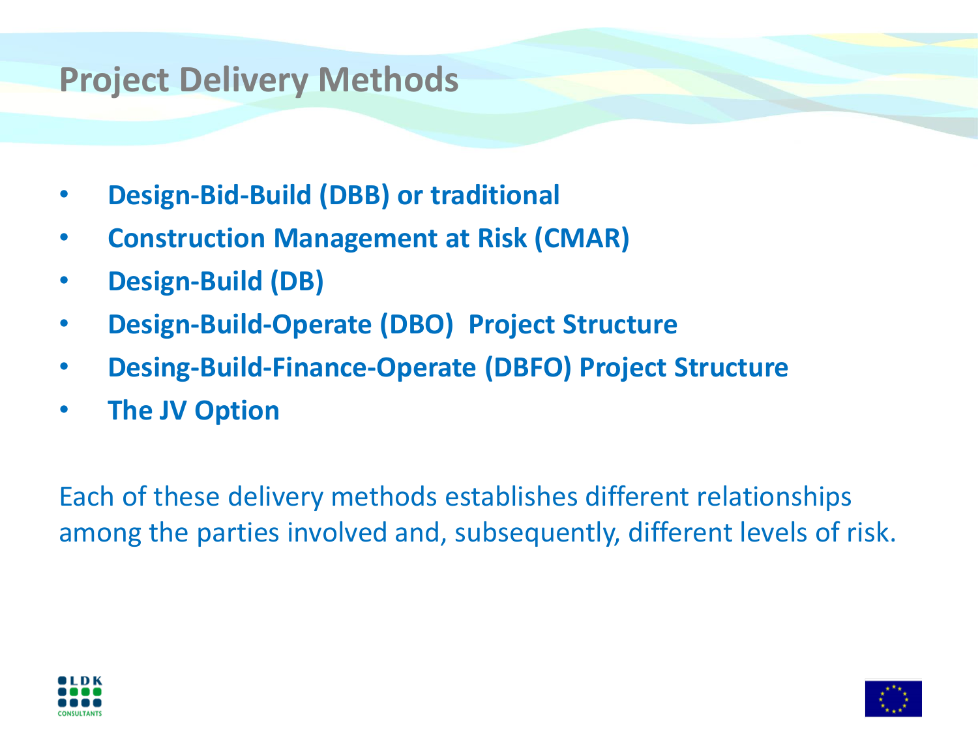#### **Project Delivery Methods**

- **Design-Bid-Build (DBB) or traditional**
- **Construction Management at Risk (CMAR)**
- **Design-Build (DB)**
- **Design-Build-Operate (DBO) Project Structure**
- **Desing-Build-Finance-Operate (DBFO) Project Structure**
- **The JV Option**

Each of these delivery methods establishes different relationships among the parties involved and, subsequently, different levels of risk.



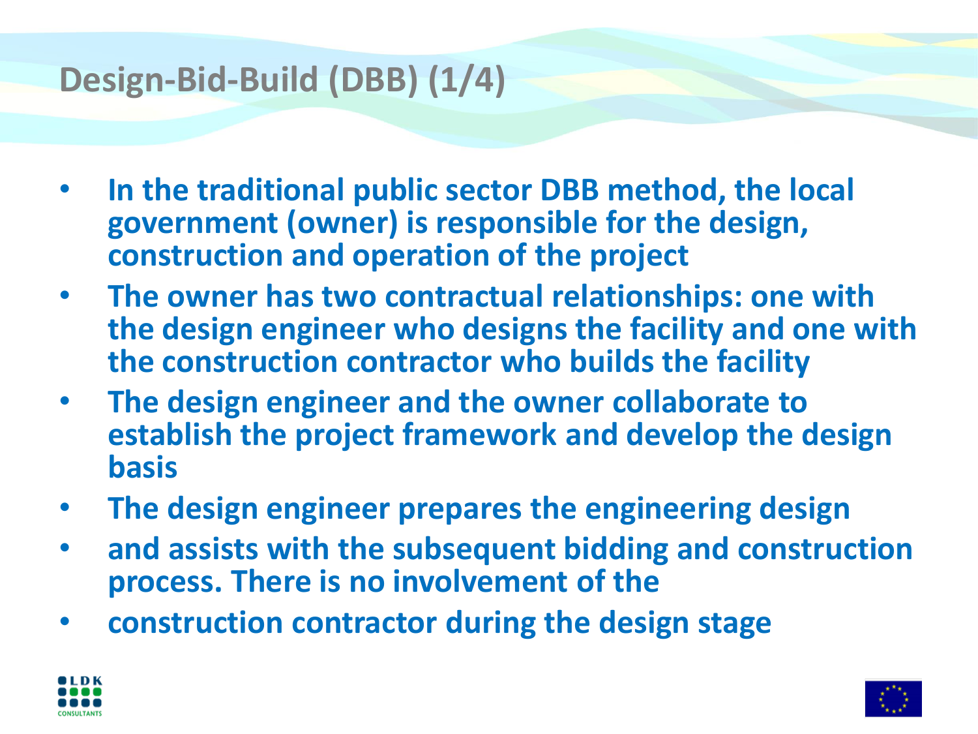## **Design-Bid-Build (DBB) (1/4)**

- **In the traditional public sector DBB method, the local government (owner) is responsible for the design, construction and operation of the project**
- **The owner has two contractual relationships: one with the design engineer who designs the facility and one with the construction contractor who builds the facility**
- **The design engineer and the owner collaborate to establish the project framework and develop the design basis**
- **The design engineer prepares the engineering design**
- **and assists with the subsequent bidding and construction process. There is no involvement of the**
- **construction contractor during the design stage**



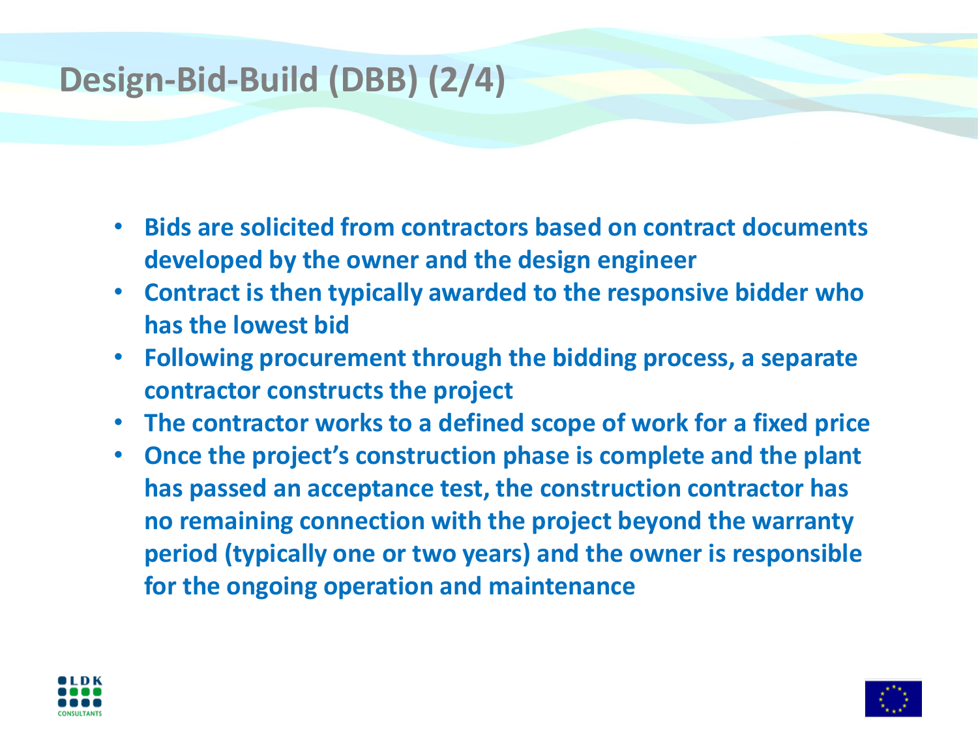# **Design-Bid-Build (DBB) (2/4)**

- **Bids are solicited from contractors based on contract documents developed by the owner and the design engineer**
- **Contract is then typically awarded to the responsive bidder who has the lowest bid**
- **Following procurement through the bidding process, a separate contractor constructs the project**
- **The contractor works to a defined scope of work for a fixed price**
- **Once the project's construction phase is complete and the plant has passed an acceptance test, the construction contractor has no remaining connection with the project beyond the warranty period (typically one or two years) and the owner is responsible for the ongoing operation and maintenance**



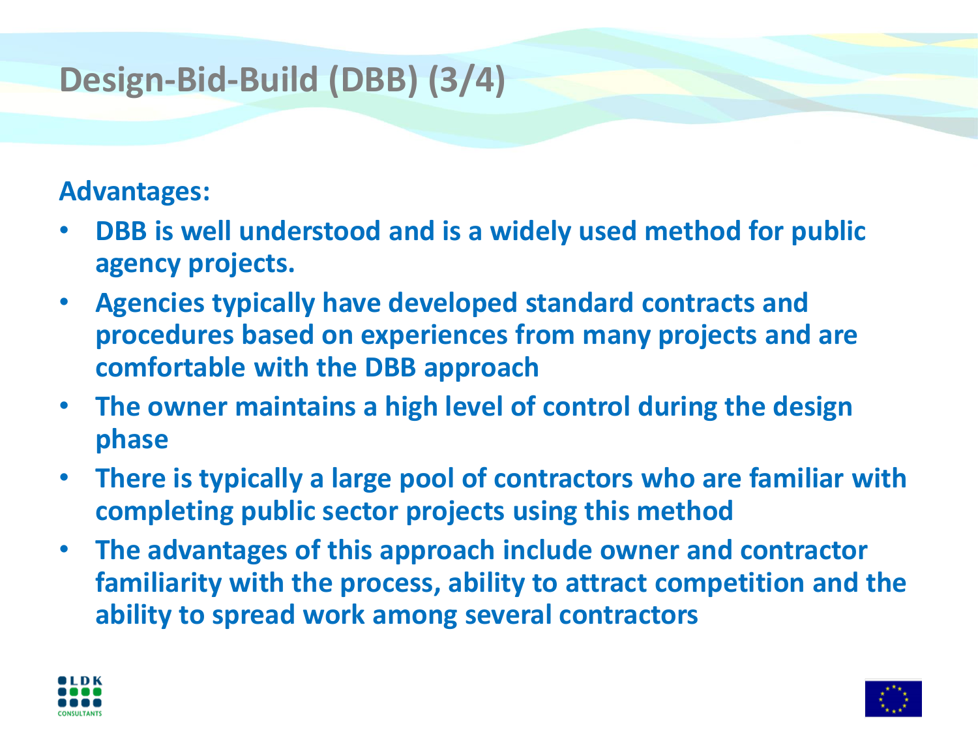# **Design-Bid-Build (DBB) (3/4)**

#### **Advantages:**

- **DBB is well understood and is a widely used method for public agency projects.**
- **Agencies typically have developed standard contracts and procedures based on experiences from many projects and are comfortable with the DBB approach**
- **The owner maintains a high level of control during the design phase**
- **There is typically a large pool of contractors who are familiar with completing public sector projects using this method**
- **The advantages of this approach include owner and contractor familiarity with the process, ability to attract competition and the ability to spread work among several contractors**



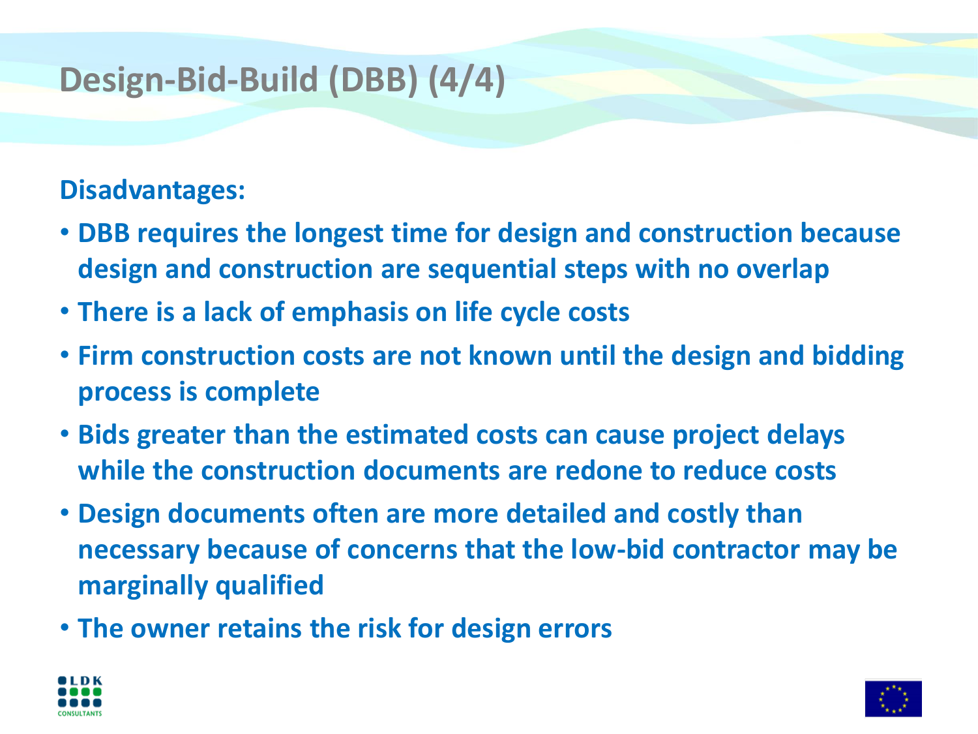# **Design-Bid-Build (DBB) (4/4)**

#### **Disadvantages:**

- **DBB requires the longest time for design and construction because design and construction are sequential steps with no overlap**
- **There is a lack of emphasis on life cycle costs**
- **Firm construction costs are not known until the design and bidding process is complete**
- **Bids greater than the estimated costs can cause project delays while the construction documents are redone to reduce costs**
- **Design documents often are more detailed and costly than necessary because of concerns that the low-bid contractor may be marginally qualified**
- **The owner retains the risk for design errors**



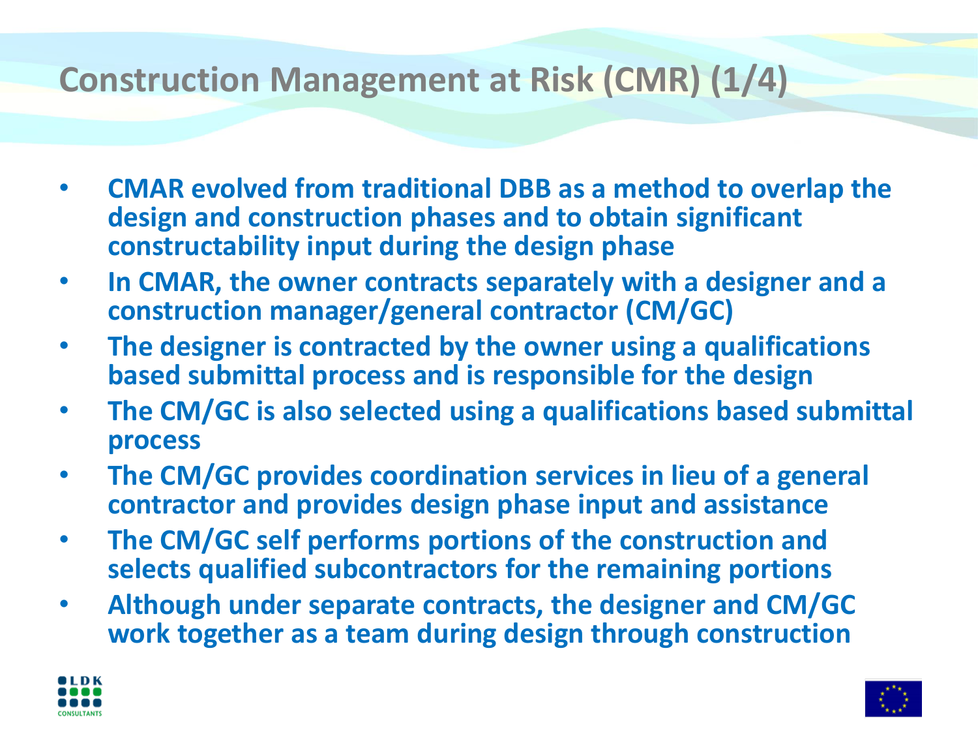## **Construction Management at Risk (CMR) (1/4)**

- **CMAR evolved from traditional DBB as a method to overlap the design and construction phases and to obtain significant constructability input during the design phase**
- **In CMAR, the owner contracts separately with a designer and a construction manager/general contractor (CM/GC)**
- **The designer is contracted by the owner using a qualifications based submittal process and is responsible for the design**
- **The CM/GC is also selected using a qualifications based submittal process**
- **The CM/GC provides coordination services in lieu of a general contractor and provides design phase input and assistance**
- **The CM/GC self performs portions of the construction and selects qualified subcontractors for the remaining portions**
- **Although under separate contracts, the designer and CM/GC work together as a team during design through construction**



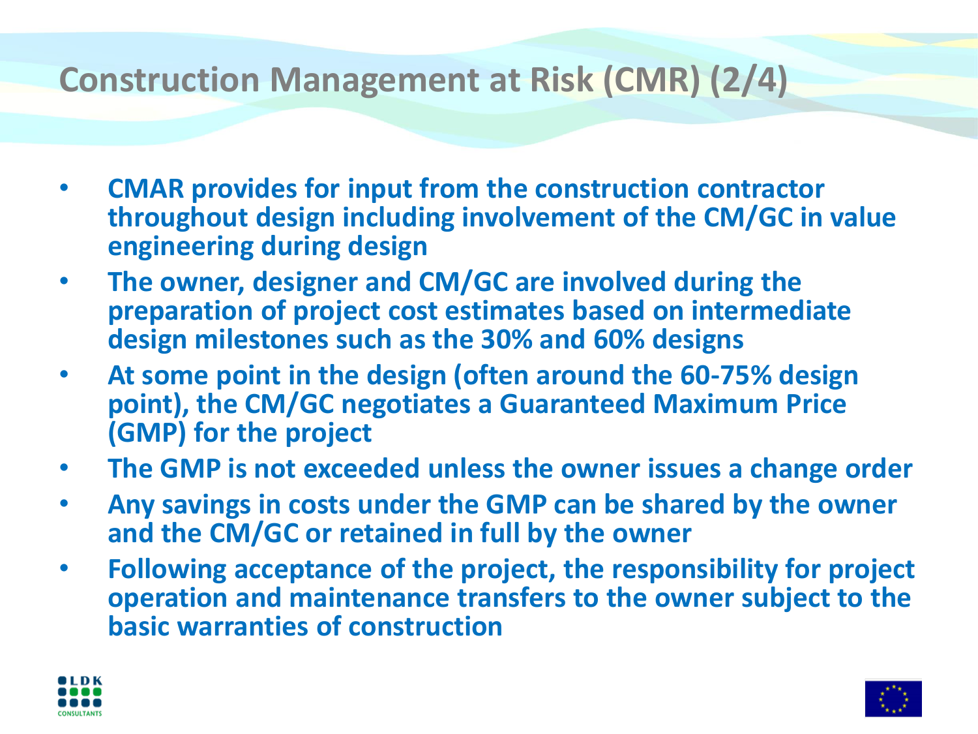## **Construction Management at Risk (CMR) (2/4)**

- **CMAR provides for input from the construction contractor throughout design including involvement of the CM/GC in value engineering during design**
- **The owner, designer and CM/GC are involved during the preparation of project cost estimates based on intermediate design milestones such as the 30% and 60% designs**
- **At some point in the design (often around the 60-75% design point), the CM/GC negotiates a Guaranteed Maximum Price (GMP) for the project**
- **The GMP is not exceeded unless the owner issues a change order**
- **Any savings in costs under the GMP can be shared by the owner and the CM/GC or retained in full by the owner**
- **Following acceptance of the project, the responsibility for project operation and maintenance transfers to the owner subject to the basic warranties of construction**



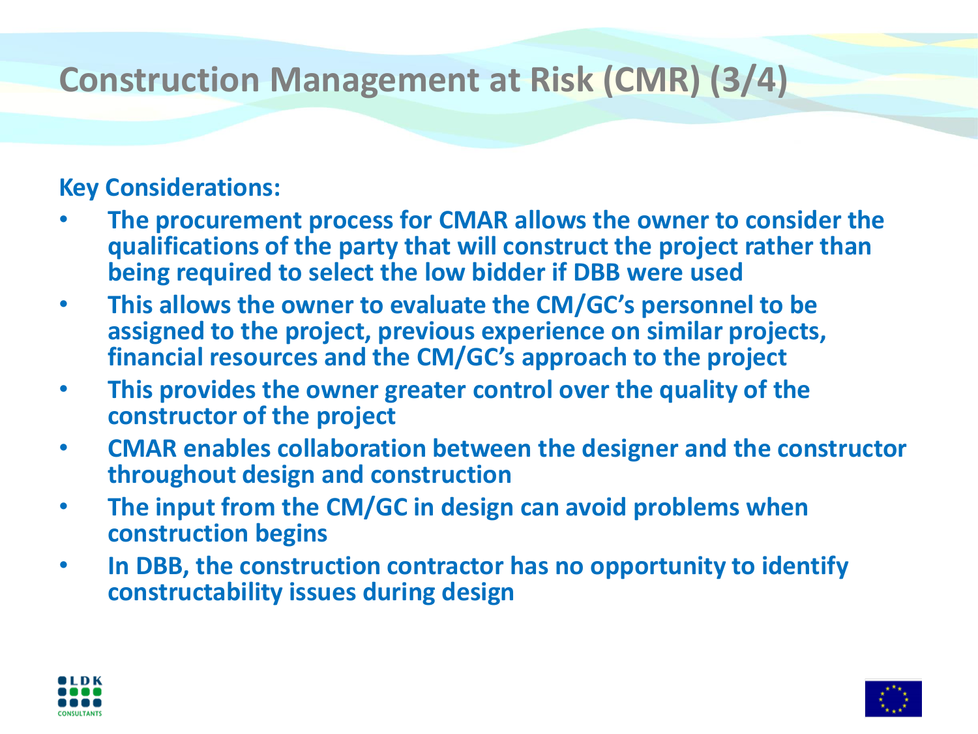# **Construction Management at Risk (CMR) (3/4)**

#### **Key Considerations:**

- **The procurement process for CMAR allows the owner to consider the qualifications of the party that will construct the project rather than being required to select the low bidder if DBB were used**
- **This allows the owner to evaluate the CM/GC's personnel to be assigned to the project, previous experience on similar projects, financial resources and the CM/GC's approach to the project**
- **This provides the owner greater control over the quality of the constructor of the project**
- **CMAR enables collaboration between the designer and the constructor throughout design and construction**
- **The input from the CM/GC in design can avoid problems when construction begins**
- **In DBB, the construction contractor has no opportunity to identify constructability issues during design**



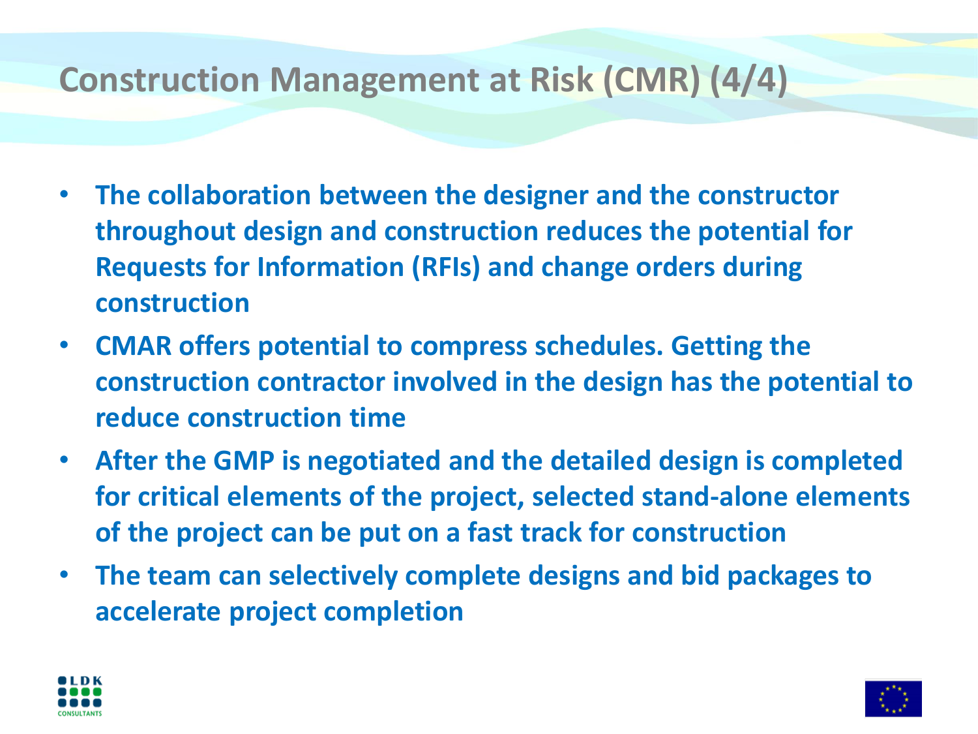## **Construction Management at Risk (CMR) (4/4)**

- **The collaboration between the designer and the constructor throughout design and construction reduces the potential for Requests for Information (RFIs) and change orders during construction**
- **CMAR offers potential to compress schedules. Getting the construction contractor involved in the design has the potential to reduce construction time**
- **After the GMP is negotiated and the detailed design is completed for critical elements of the project, selected stand-alone elements of the project can be put on a fast track for construction**
- **The team can selectively complete designs and bid packages to accelerate project completion**



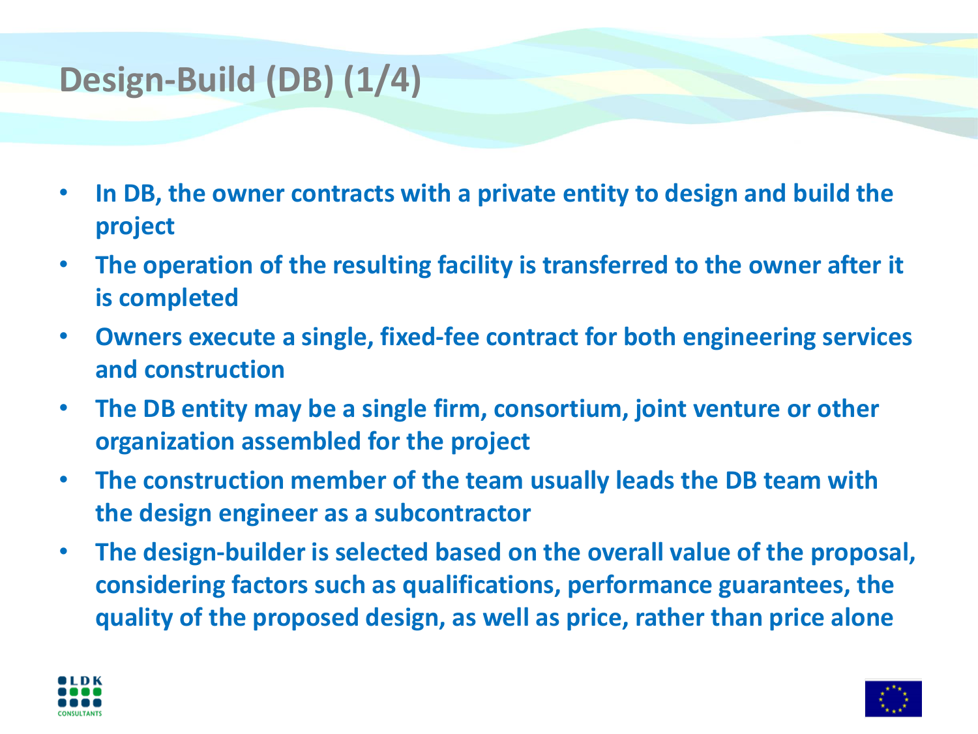# **Design-Build (DB) (1/4)**

- **In DB, the owner contracts with a private entity to design and build the project**
- **The operation of the resulting facility is transferred to the owner after it is completed**
- **Owners execute a single, fixed-fee contract for both engineering services and construction**
- **The DB entity may be a single firm, consortium, joint venture or other organization assembled for the project**
- **The construction member of the team usually leads the DB team with the design engineer as a subcontractor**
- **The design-builder is selected based on the overall value of the proposal, considering factors such as qualifications, performance guarantees, the quality of the proposed design, as well as price, rather than price alone**



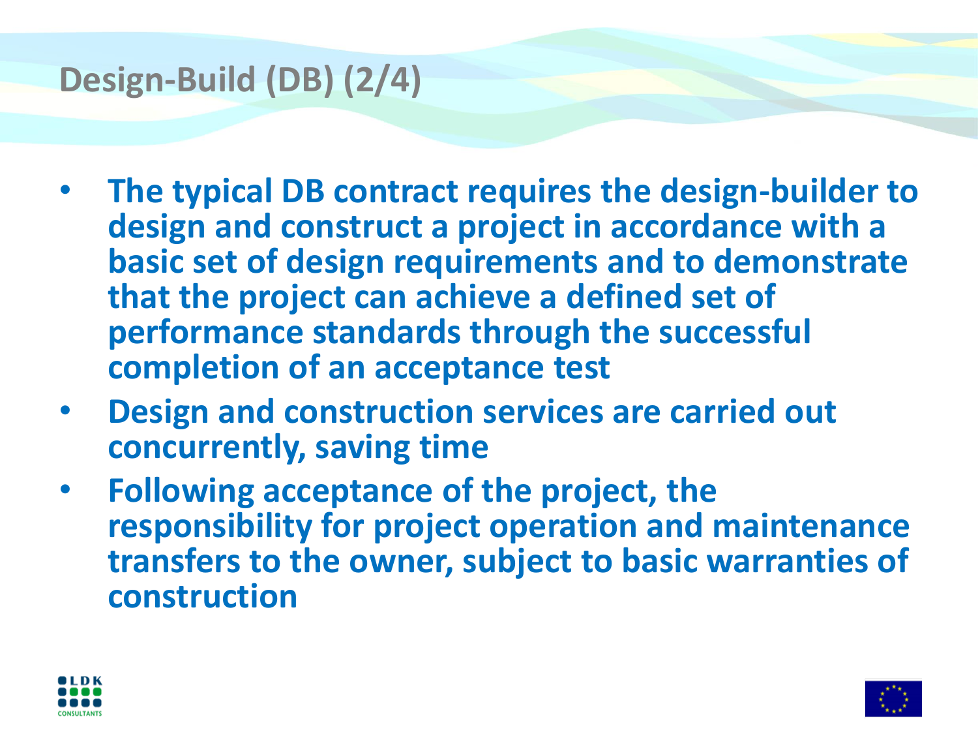## **Design-Build (DB) (2/4)**

- **The typical DB contract requires the design-builder to design and construct a project in accordance with a basic set of design requirements and to demonstrate that the project can achieve a defined set of performance standards through the successful completion of an acceptance test**
- **Design and construction services are carried out concurrently, saving time**
- **Following acceptance of the project, the responsibility for project operation and maintenance transfers to the owner, subject to basic warranties of construction**



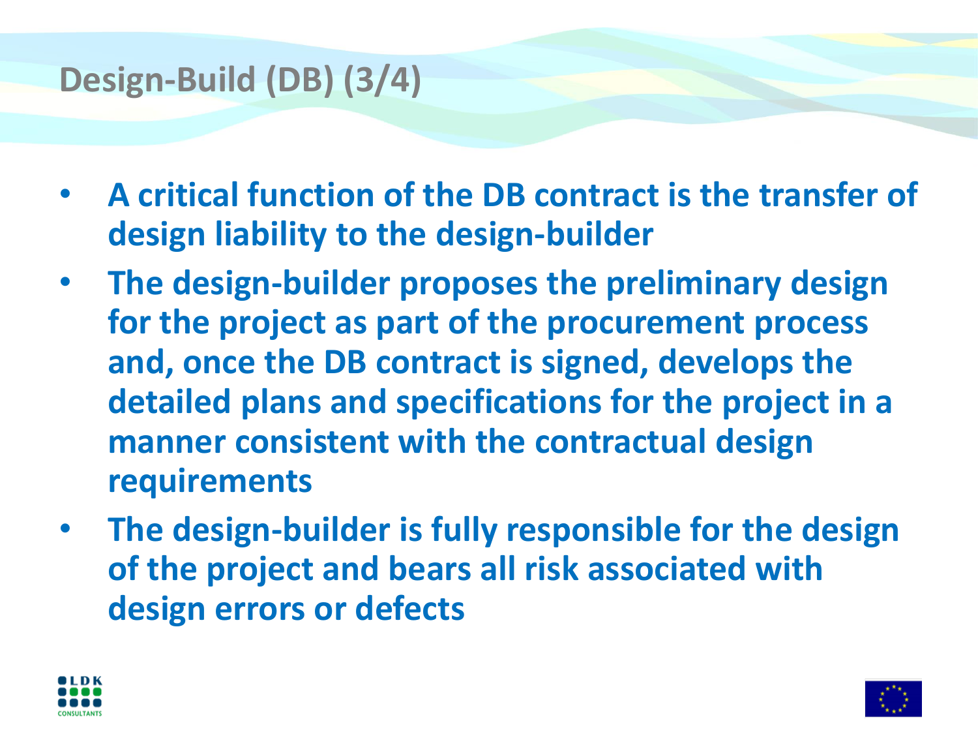## **Design-Build (DB) (3/4)**

- **A critical function of the DB contract is the transfer of design liability to the design-builder**
- **The design-builder proposes the preliminary design for the project as part of the procurement process and, once the DB contract is signed, develops the detailed plans and specifications for the project in a manner consistent with the contractual design requirements**
- **The design-builder is fully responsible for the design of the project and bears all risk associated with design errors or defects**



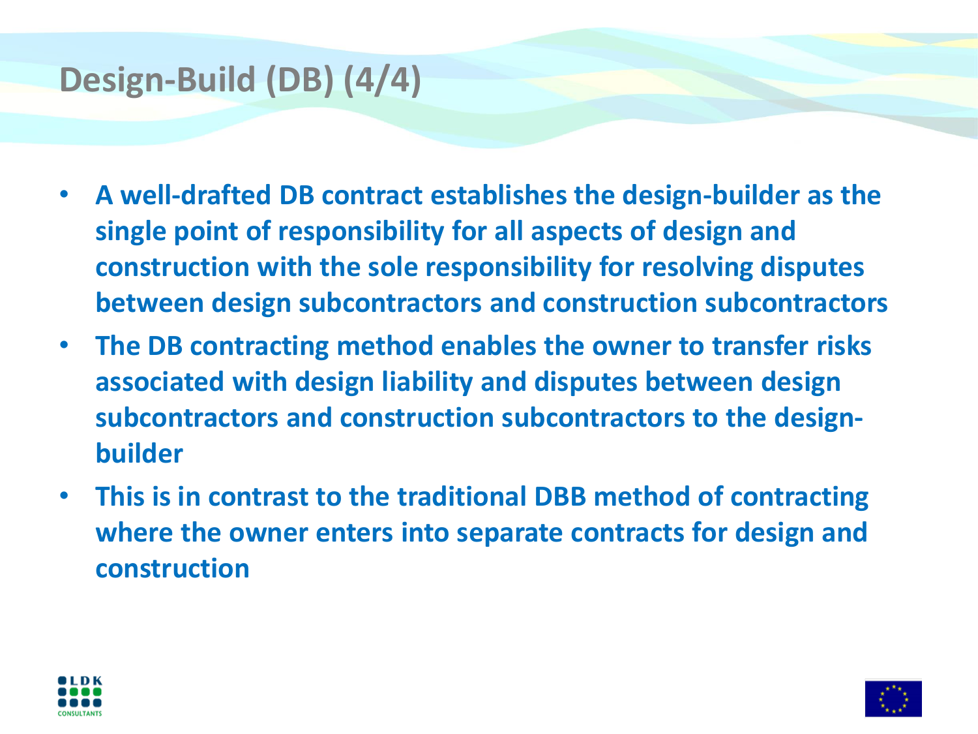## **Design-Build (DB) (4/4)**

- **A well-drafted DB contract establishes the design-builder as the single point of responsibility for all aspects of design and construction with the sole responsibility for resolving disputes between design subcontractors and construction subcontractors**
- **The DB contracting method enables the owner to transfer risks associated with design liability and disputes between design subcontractors and construction subcontractors to the designbuilder**
- **This is in contrast to the traditional DBB method of contracting where the owner enters into separate contracts for design and construction**



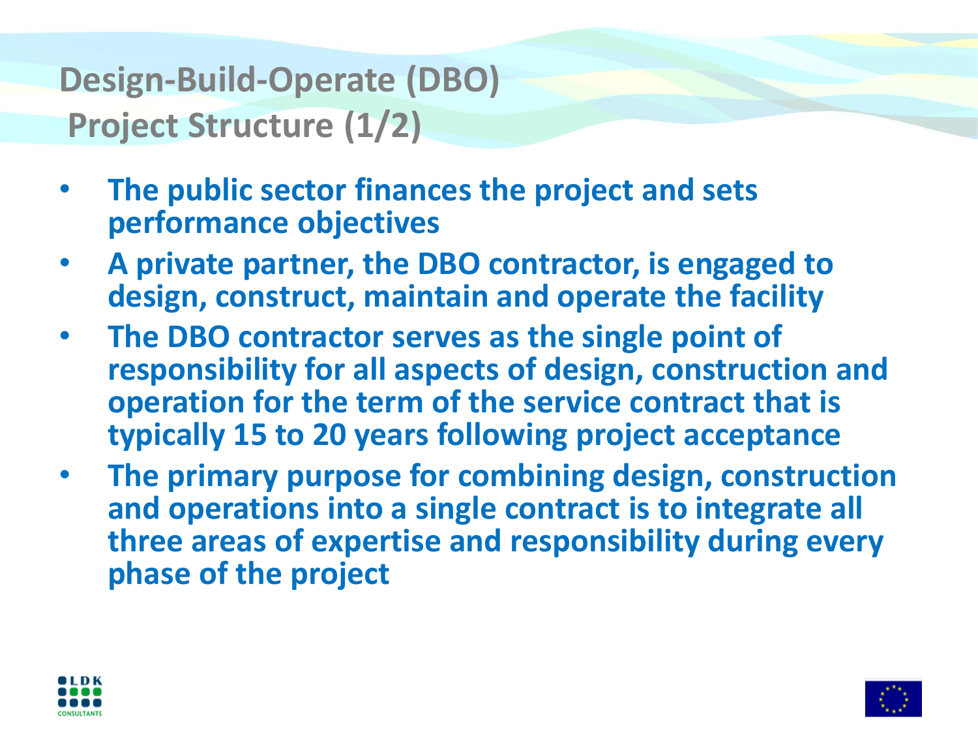# **Design-Build-Operate (DBO) Project Structure (1/2)**

- **The public sector finances the project and sets performance objectives**
- **A private partner, the DBO contractor, is engaged to design, construct, maintain and operate the facility**
- **The DBO contractor serves as the single point of responsibility for all aspects of design, construction and operation for the term of the service contract that is typically 15 to 20 years following project acceptance**
- **The primary purpose for combining design, construction and operations into a single contract is to integrate all three areas of expertise and responsibility during every phase of the project**



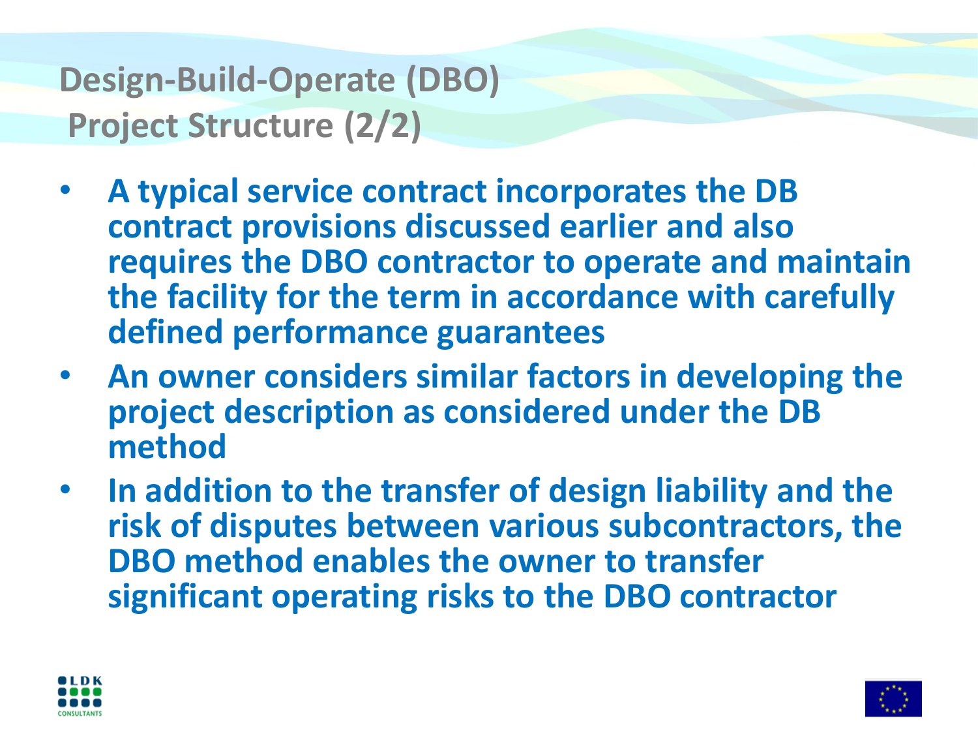# **Design-Build-Operate (DBO) Project Structure (2/2)**

- **A typical service contract incorporates the DB contract provisions discussed earlier and also requires the DBO contractor to operate and maintain the facility for the term in accordance with carefully defined performance guarantees**
- **An owner considers similar factors in developing the project description as considered under the DB method**
- **In addition to the transfer of design liability and the risk of disputes between various subcontractors, the DBO method enables the owner to transfer significant operating risks to the DBO contractor**



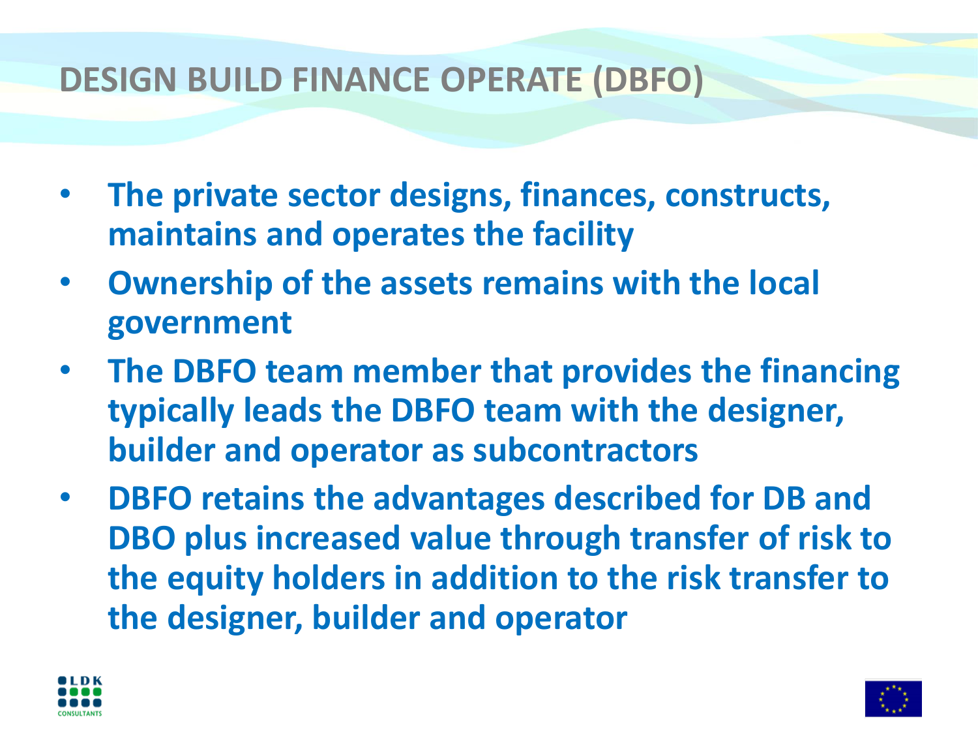#### **DESIGN BUILD FINANCE OPERATE (DBFO)**

- **The private sector designs, finances, constructs, maintains and operates the facility**
- **Ownership of the assets remains with the local government**
- **The DBFO team member that provides the financing typically leads the DBFO team with the designer, builder and operator as subcontractors**
- **DBFO retains the advantages described for DB and DBO plus increased value through transfer of risk to the equity holders in addition to the risk transfer to the designer, builder and operator**



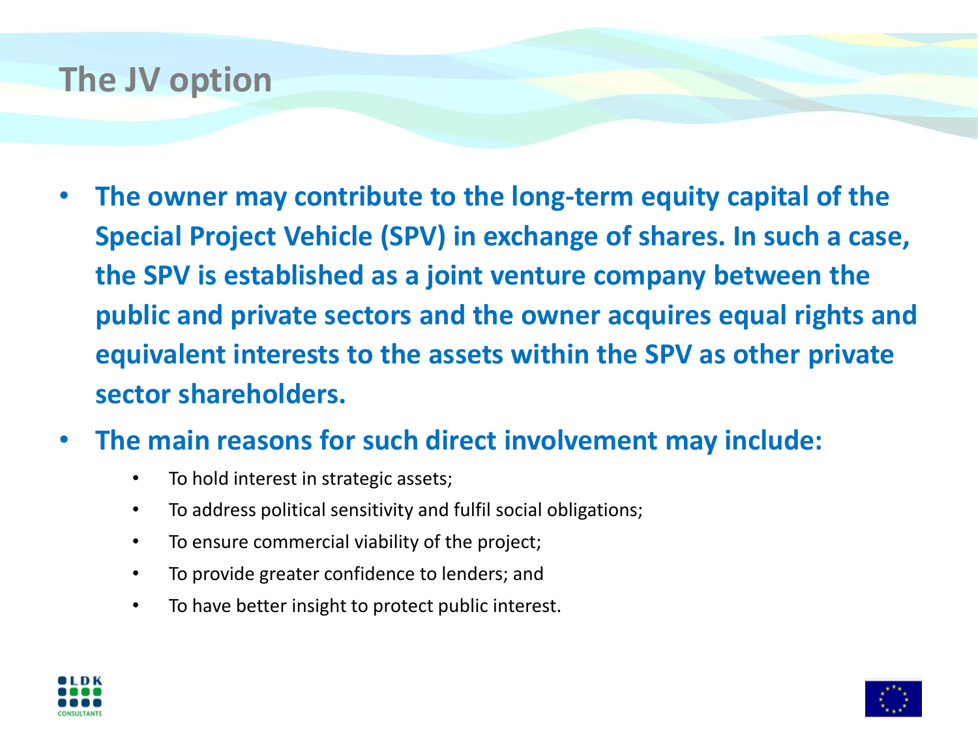## **The JV option**

- **The owner may contribute to the long-term equity capital of the Special Project Vehicle (SPV) in exchange of shares. In such a case, the SPV is established as a joint venture company between the public and private sectors and the owner acquires equal rights and equivalent interests to the assets within the SPV as other private sector shareholders.**
- **The main reasons for such direct involvement may include:** 
	- To hold interest in strategic assets;
	- To address political sensitivity and fulfil social obligations;
	- To ensure commercial viability of the project;
	- To provide greater confidence to lenders; and
	- To have better insight to protect public interest.



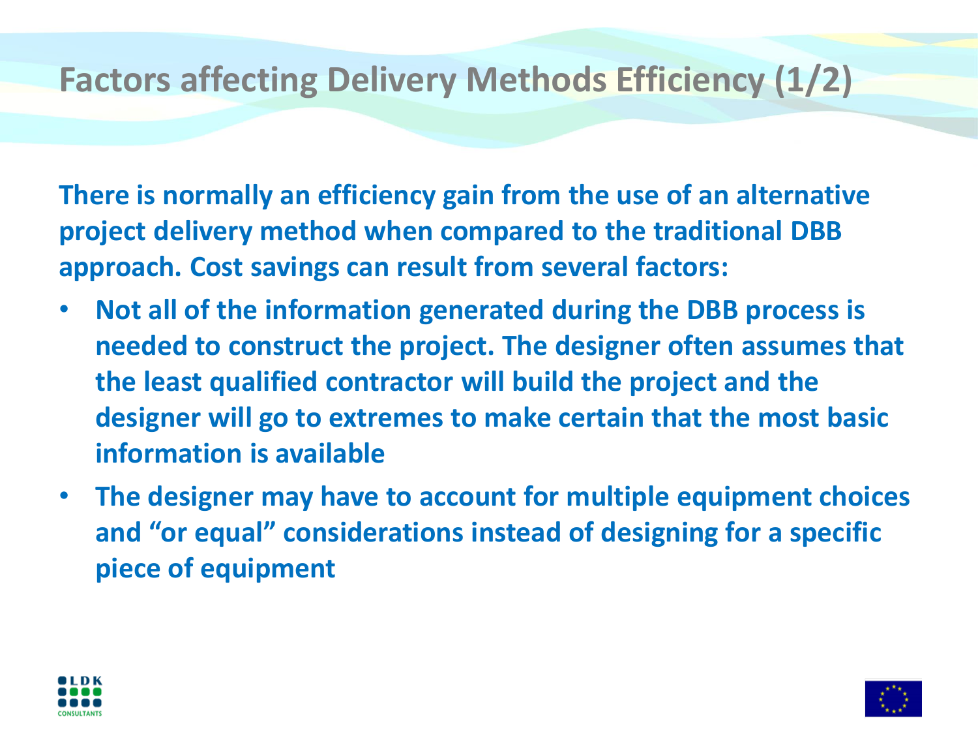## **Factors affecting Delivery Methods Efficiency (1/2)**

**There is normally an efficiency gain from the use of an alternative project delivery method when compared to the traditional DBB approach. Cost savings can result from several factors:**

- **Not all of the information generated during the DBB process is needed to construct the project. The designer often assumes that the least qualified contractor will build the project and the designer will go to extremes to make certain that the most basic information is available**
- **The designer may have to account for multiple equipment choices and "or equal" considerations instead of designing for a specific piece of equipment**



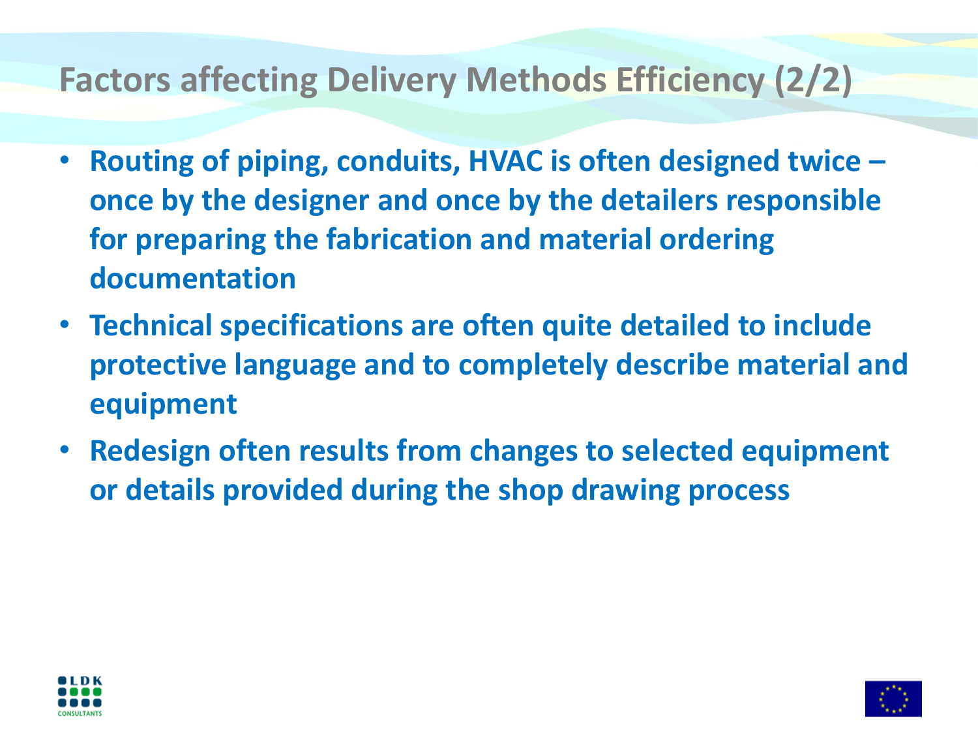# **Factors affecting Delivery Methods Efficiency (2/2)**

- **Routing of piping, conduits, HVAC is often designed twice – once by the designer and once by the detailers responsible for preparing the fabrication and material ordering documentation**
- **Technical specifications are often quite detailed to include protective language and to completely describe material and equipment**
- **Redesign often results from changes to selected equipment or details provided during the shop drawing process**



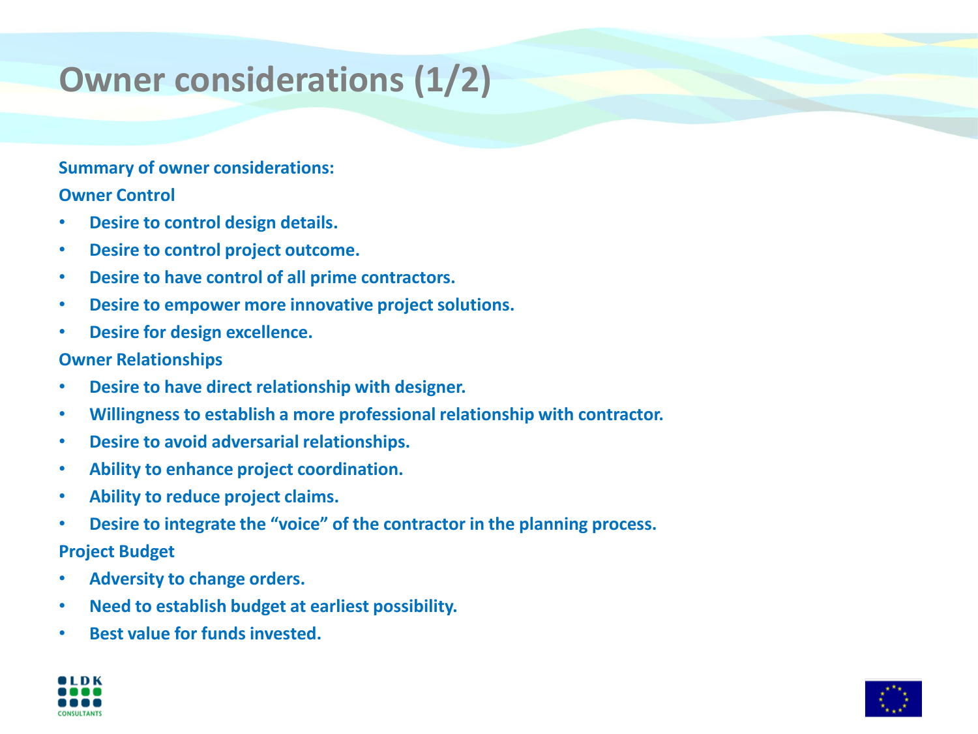# **Owner considerations (1/2)**

#### **Summary of owner considerations:**

**Owner Control**

- **Desire to control design details.**
- **Desire to control project outcome.**
- **Desire to have control of all prime contractors.**
- **Desire to empower more innovative project solutions.**
- **Desire for design excellence.**

#### **Owner Relationships**

- **Desire to have direct relationship with designer.**
- **Willingness to establish a more professional relationship with contractor.**
- **Desire to avoid adversarial relationships.**
- **Ability to enhance project coordination.**
- **Ability to reduce project claims.**
- **Desire to integrate the "voice" of the contractor in the planning process.**

#### **Project Budget**

- **Adversity to change orders.**
- **Need to establish budget at earliest possibility.**
- **Best value for funds invested.**



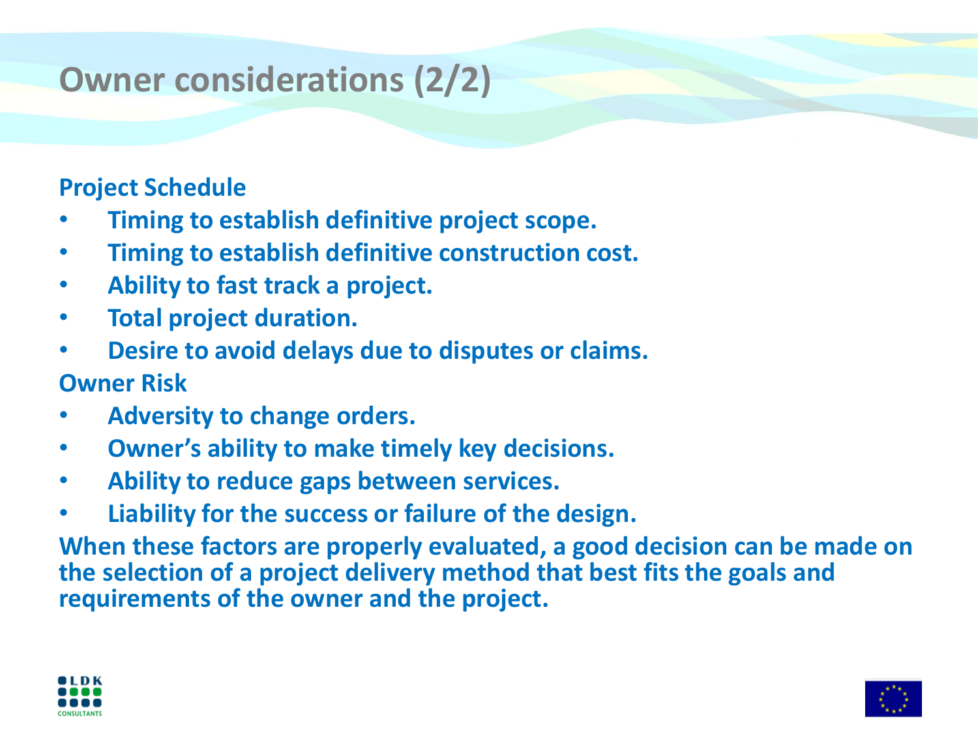# **Owner considerations (2/2)**

#### **Project Schedule**

- **Timing to establish definitive project scope.**
- **Timing to establish definitive construction cost.**
- **Ability to fast track a project.**
- **Total project duration.**
- **Desire to avoid delays due to disputes or claims.**

#### **Owner Risk**

- **Adversity to change orders.**
- **Owner's ability to make timely key decisions.**
- **Ability to reduce gaps between services.**
- **Liability for the success or failure of the design.**

**When these factors are properly evaluated, a good decision can be made on the selection of a project delivery method that best fits the goals and requirements of the owner and the project.**